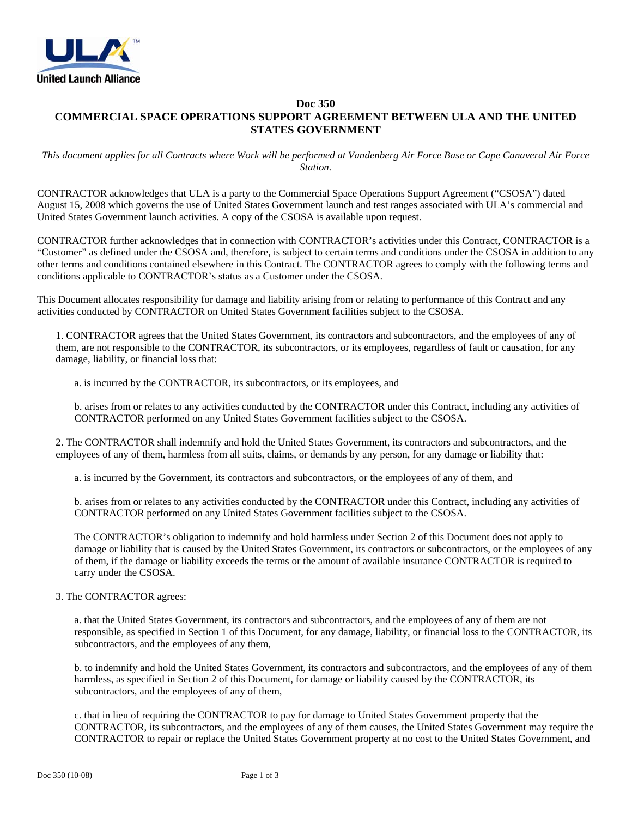

## **Doc 350 COMMERCIAL SPACE OPERATIONS SUPPORT AGREEMENT BETWEEN ULA AND THE UNITED STATES GOVERNMENT**

## *This document applies for all Contracts where Work will be performed at Vandenberg Air Force Base or Cape Canaveral Air Force Station.*

CONTRACTOR acknowledges that ULA is a party to the Commercial Space Operations Support Agreement ("CSOSA") dated August 15, 2008 which governs the use of United States Government launch and test ranges associated with ULA's commercial and United States Government launch activities. A copy of the CSOSA is available upon request.

CONTRACTOR further acknowledges that in connection with CONTRACTOR's activities under this Contract, CONTRACTOR is a "Customer" as defined under the CSOSA and, therefore, is subject to certain terms and conditions under the CSOSA in addition to any other terms and conditions contained elsewhere in this Contract. The CONTRACTOR agrees to comply with the following terms and conditions applicable to CONTRACTOR's status as a Customer under the CSOSA.

This Document allocates responsibility for damage and liability arising from or relating to performance of this Contract and any activities conducted by CONTRACTOR on United States Government facilities subject to the CSOSA.

1. CONTRACTOR agrees that the United States Government, its contractors and subcontractors, and the employees of any of them, are not responsible to the CONTRACTOR, its subcontractors, or its employees, regardless of fault or causation, for any damage, liability, or financial loss that:

a. is incurred by the CONTRACTOR, its subcontractors, or its employees, and

b. arises from or relates to any activities conducted by the CONTRACTOR under this Contract, including any activities of CONTRACTOR performed on any United States Government facilities subject to the CSOSA.

2. The CONTRACTOR shall indemnify and hold the United States Government, its contractors and subcontractors, and the employees of any of them, harmless from all suits, claims, or demands by any person, for any damage or liability that:

a. is incurred by the Government, its contractors and subcontractors, or the employees of any of them, and

b. arises from or relates to any activities conducted by the CONTRACTOR under this Contract, including any activities of CONTRACTOR performed on any United States Government facilities subject to the CSOSA.

The CONTRACTOR's obligation to indemnify and hold harmless under Section 2 of this Document does not apply to damage or liability that is caused by the United States Government, its contractors or subcontractors, or the employees of any of them, if the damage or liability exceeds the terms or the amount of available insurance CONTRACTOR is required to carry under the CSOSA.

## 3. The CONTRACTOR agrees:

a. that the United States Government, its contractors and subcontractors, and the employees of any of them are not responsible, as specified in Section 1 of this Document, for any damage, liability, or financial loss to the CONTRACTOR, its subcontractors, and the employees of any them,

b. to indemnify and hold the United States Government, its contractors and subcontractors, and the employees of any of them harmless, as specified in Section 2 of this Document, for damage or liability caused by the CONTRACTOR, its subcontractors, and the employees of any of them,

c. that in lieu of requiring the CONTRACTOR to pay for damage to United States Government property that the CONTRACTOR, its subcontractors, and the employees of any of them causes, the United States Government may require the CONTRACTOR to repair or replace the United States Government property at no cost to the United States Government, and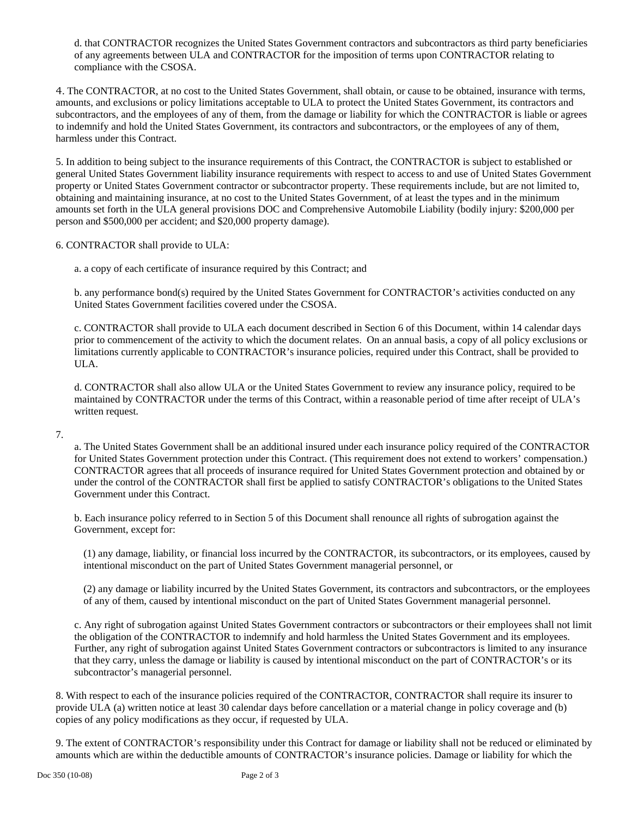d. that CONTRACTOR recognizes the United States Government contractors and subcontractors as third party beneficiaries of any agreements between ULA and CONTRACTOR for the imposition of terms upon CONTRACTOR relating to compliance with the CSOSA.

4. The CONTRACTOR, at no cost to the United States Government, shall obtain, or cause to be obtained, insurance with terms, amounts, and exclusions or policy limitations acceptable to ULA to protect the United States Government, its contractors and subcontractors, and the employees of any of them, from the damage or liability for which the CONTRACTOR is liable or agrees to indemnify and hold the United States Government, its contractors and subcontractors, or the employees of any of them, harmless under this Contract.

5. In addition to being subject to the insurance requirements of this Contract, the CONTRACTOR is subject to established or general United States Government liability insurance requirements with respect to access to and use of United States Government property or United States Government contractor or subcontractor property. These requirements include, but are not limited to, obtaining and maintaining insurance, at no cost to the United States Government, of at least the types and in the minimum amounts set forth in the ULA general provisions DOC and Comprehensive Automobile Liability (bodily injury: \$200,000 per person and \$500,000 per accident; and \$20,000 property damage).

6. CONTRACTOR shall provide to ULA:

a. a copy of each certificate of insurance required by this Contract; and

b. any performance bond(s) required by the United States Government for CONTRACTOR's activities conducted on any United States Government facilities covered under the CSOSA.

c. CONTRACTOR shall provide to ULA each document described in Section 6 of this Document, within 14 calendar days prior to commencement of the activity to which the document relates. On an annual basis, a copy of all policy exclusions or limitations currently applicable to CONTRACTOR's insurance policies, required under this Contract, shall be provided to ULA.

d. CONTRACTOR shall also allow ULA or the United States Government to review any insurance policy, required to be maintained by CONTRACTOR under the terms of this Contract, within a reasonable period of time after receipt of ULA's written request.

7.

a. The United States Government shall be an additional insured under each insurance policy required of the CONTRACTOR for United States Government protection under this Contract. (This requirement does not extend to workers' compensation.) CONTRACTOR agrees that all proceeds of insurance required for United States Government protection and obtained by or under the control of the CONTRACTOR shall first be applied to satisfy CONTRACTOR's obligations to the United States Government under this Contract.

b. Each insurance policy referred to in Section 5 of this Document shall renounce all rights of subrogation against the Government, except for:

(1) any damage, liability, or financial loss incurred by the CONTRACTOR, its subcontractors, or its employees, caused by intentional misconduct on the part of United States Government managerial personnel, or

(2) any damage or liability incurred by the United States Government, its contractors and subcontractors, or the employees of any of them, caused by intentional misconduct on the part of United States Government managerial personnel.

c. Any right of subrogation against United States Government contractors or subcontractors or their employees shall not limit the obligation of the CONTRACTOR to indemnify and hold harmless the United States Government and its employees. Further, any right of subrogation against United States Government contractors or subcontractors is limited to any insurance that they carry, unless the damage or liability is caused by intentional misconduct on the part of CONTRACTOR's or its subcontractor's managerial personnel.

8. With respect to each of the insurance policies required of the CONTRACTOR, CONTRACTOR shall require its insurer to provide ULA (a) written notice at least 30 calendar days before cancellation or a material change in policy coverage and (b) copies of any policy modifications as they occur, if requested by ULA.

9. The extent of CONTRACTOR's responsibility under this Contract for damage or liability shall not be reduced or eliminated by amounts which are within the deductible amounts of CONTRACTOR's insurance policies. Damage or liability for which the